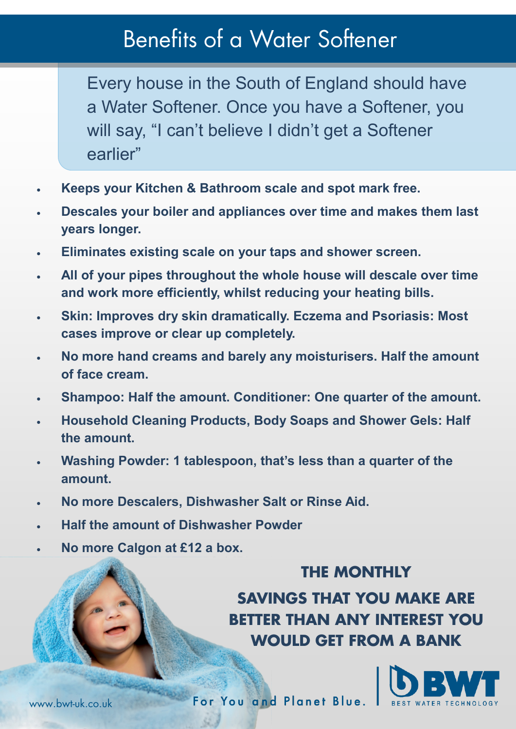## Benefits of a Water Softener

Every house in the South of England should have a Water Softener. Once you have a Softener, you will say, "I can't believe I didn't get a Softener earlier"

- **Keeps your Kitchen & Bathroom scale and spot mark free.**
- **Descales your boiler and appliances over time and makes them last years longer.**
- **Eliminates existing scale on your taps and shower screen.**
- **All of your pipes throughout the whole house will descale over time and work more efficiently, whilst reducing your heating bills.**
- **Skin: Improves dry skin dramatically. Eczema and Psoriasis: Most cases improve or clear up completely.**
- **No more hand creams and barely any moisturisers. Half the amount of face cream.**
- **Shampoo: Half the amount. Conditioner: One quarter of the amount.**
- **Household Cleaning Products, Body Soaps and Shower Gels: Half the amount.**
- **Washing Powder: 1 tablespoon, that's less than a quarter of the amount.**
- **No more Descalers, Dishwasher Salt or Rinse Aid.**
- **Half the amount of Dishwasher Powder**
- **No more Calgon at £12 a box.**

## **THE MONTHLY**

**SAVINGS THAT YOU MAKE ARE BETTER THAN ANY INTEREST YOU WOULD GET FROM A BANK**



For You and Planet Blue.

www.bwt-uk.co.uk